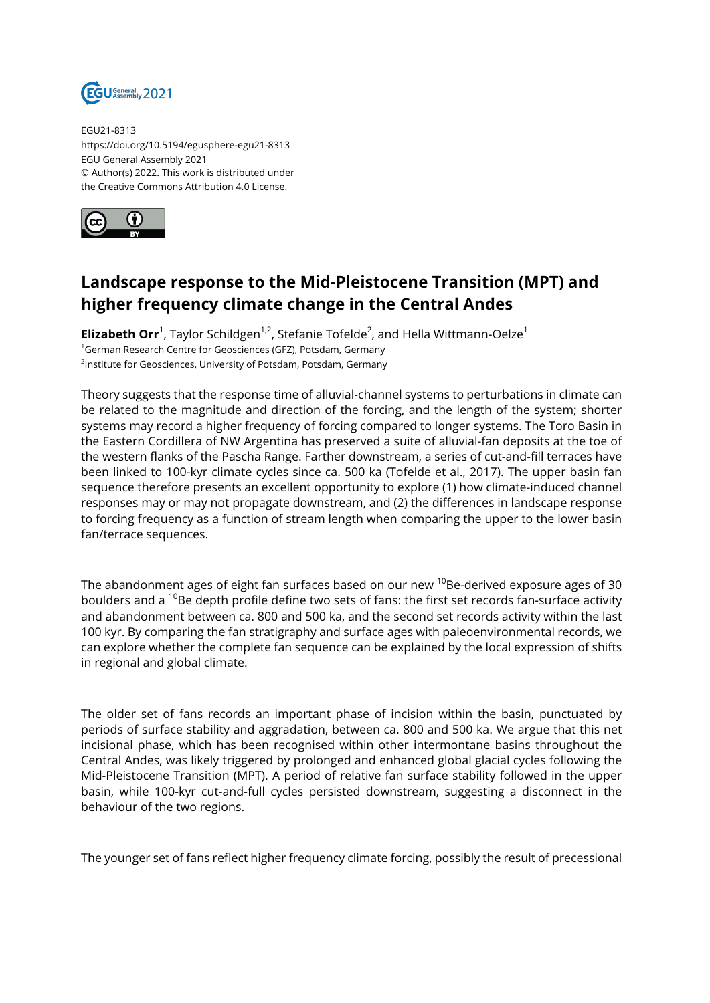

EGU21-8313 https://doi.org/10.5194/egusphere-egu21-8313 EGU General Assembly 2021 © Author(s) 2022. This work is distributed under the Creative Commons Attribution 4.0 License.



## **Landscape response to the Mid-Pleistocene Transition (MPT) and higher frequency climate change in the Central Andes**

**Elizabeth Orr**<sup>1</sup>, Taylor Schildgen<sup>1,2</sup>, Stefanie Tofelde<sup>2</sup>, and Hella Wittmann-Oelze<sup>1</sup> <sup>1</sup>German Research Centre for Geosciences (GFZ), Potsdam, Germany <sup>2</sup>Institute for Geosciences, University of Potsdam, Potsdam, Germany

Theory suggests that the response time of alluvial-channel systems to perturbations in climate can be related to the magnitude and direction of the forcing, and the length of the system; shorter systems may record a higher frequency of forcing compared to longer systems. The Toro Basin in the Eastern Cordillera of NW Argentina has preserved a suite of alluvial-fan deposits at the toe of the western flanks of the Pascha Range. Farther downstream, a series of cut-and-fill terraces have been linked to 100-kyr climate cycles since ca. 500 ka (Tofelde et al., 2017). The upper basin fan sequence therefore presents an excellent opportunity to explore (1) how climate-induced channel responses may or may not propagate downstream, and (2) the differences in landscape response to forcing frequency as a function of stream length when comparing the upper to the lower basin fan/terrace sequences.

The abandonment ages of eight fan surfaces based on our new <sup>10</sup>Be-derived exposure ages of 30 boulders and a  $^{10}$ Be depth profile define two sets of fans: the first set records fan-surface activity and abandonment between ca. 800 and 500 ka, and the second set records activity within the last 100 kyr. By comparing the fan stratigraphy and surface ages with paleoenvironmental records, we can explore whether the complete fan sequence can be explained by the local expression of shifts in regional and global climate.

The older set of fans records an important phase of incision within the basin, punctuated by periods of surface stability and aggradation, between ca. 800 and 500 ka. We argue that this net incisional phase, which has been recognised within other intermontane basins throughout the Central Andes, was likely triggered by prolonged and enhanced global glacial cycles following the Mid-Pleistocene Transition (MPT). A period of relative fan surface stability followed in the upper basin, while 100-kyr cut-and-full cycles persisted downstream, suggesting a disconnect in the behaviour of the two regions.

The younger set of fans reflect higher frequency climate forcing, possibly the result of precessional